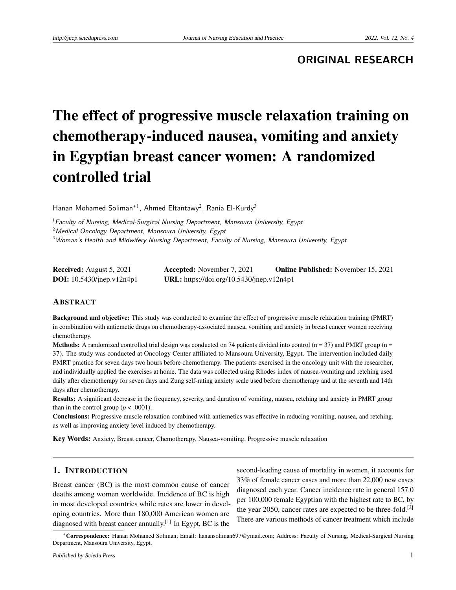**ORIGINAL RESEARCH**

# The effect of progressive muscle relaxation training on chemotherapy-induced nausea, vomiting and anxiety in Egyptian breast cancer women: A randomized controlled trial

Hanan Mohamed Soliman<sup>\*1</sup>, Ahmed Eltantawy<sup>2</sup>, Rania El-Kurdy<sup>3</sup>

 $1$  Faculty of Nursing, Medical-Surgical Nursing Department, Mansoura University, Egypt

 $2$ Medical Oncology Department, Mansoura University, Egypt

 $^3$ Woman's Health and Midwifery Nursing Department, Faculty of Nursing, Mansoura University, Egypt

| <b>Received:</b> August 5, 2021    | <b>Accepted:</b> November 7, 2021         | <b>Online Published:</b> November 15, 2021 |
|------------------------------------|-------------------------------------------|--------------------------------------------|
| <b>DOI:</b> $10.5430/jnep.v12n4p1$ | URL: https://doi.org/10.5430/jnep.v12n4p1 |                                            |

## **ABSTRACT**

Background and objective: This study was conducted to examine the effect of progressive muscle relaxation training (PMRT) in combination with antiemetic drugs on chemotherapy-associated nausea, vomiting and anxiety in breast cancer women receiving chemotherapy.

**Methods:** A randomized controlled trial design was conducted on 74 patients divided into control  $(n = 37)$  and PMRT group  $(n = 17)$ 37). The study was conducted at Oncology Center affiliated to Mansoura University, Egypt. The intervention included daily PMRT practice for seven days two hours before chemotherapy. The patients exercised in the oncology unit with the researcher, and individually applied the exercises at home. The data was collected using Rhodes index of nausea-vomiting and retching used daily after chemotherapy for seven days and Zung self-rating anxiety scale used before chemotherapy and at the seventh and 14th days after chemotherapy.

Results: A significant decrease in the frequency, severity, and duration of vomiting, nausea, retching and anxiety in PMRT group than in the control group ( $p < .0001$ ).

Conclusions: Progressive muscle relaxation combined with antiemetics was effective in reducing vomiting, nausea, and retching, as well as improving anxiety level induced by chemotherapy.

Key Words: Anxiety, Breast cancer, Chemotherapy, Nausea-vomiting, Progressive muscle relaxation

#### 1. INTRODUCTION

Breast cancer (BC) is the most common cause of cancer deaths among women worldwide. Incidence of BC is high in most developed countries while rates are lower in developing countries. More than 180,000 American women are diagnosed with breast cancer annually.<sup>[\[1\]](#page-9-0)</sup> In Egypt, BC is the

second-leading cause of mortality in women, it accounts for 33% of female cancer cases and more than 22,000 new cases diagnosed each year. Cancer incidence rate in general 157.0 per 100,000 female Egyptian with the highest rate to BC, by the year 2050, cancer rates are expected to be three-fold.<sup>[\[2\]](#page-9-1)</sup> There are various methods of cancer treatment which include

<sup>∗</sup>Correspondence: Hanan Mohamed Soliman; Email: hanansoliman697@ymail.com; Address: Faculty of Nursing, Medical-Surgical Nursing Department, Mansoura University, Egypt.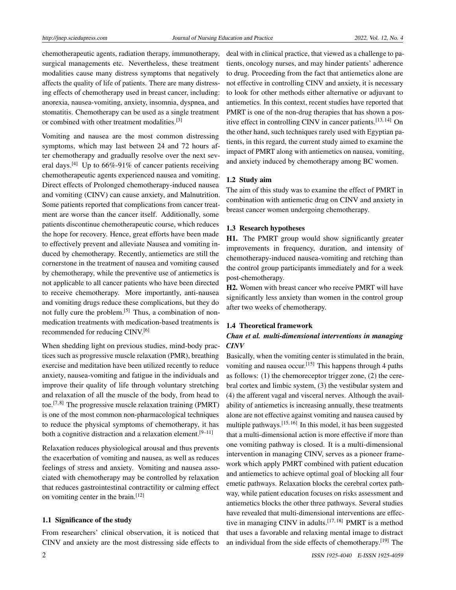chemotherapeutic agents, radiation therapy, immunotherapy, surgical managements etc. Nevertheless, these treatment modalities cause many distress symptoms that negatively affects the quality of life of patients. There are many distressing effects of chemotherapy used in breast cancer, including: anorexia, nausea-vomiting, anxiety, insomnia, dyspnea, and stomatitis. Chemotherapy can be used as a single treatment or combined with other treatment modalities.[\[3\]](#page-9-2)

Vomiting and nausea are the most common distressing symptoms, which may last between 24 and 72 hours after chemotherapy and gradually resolve over the next sev-eral days.<sup>[\[4\]](#page-9-3)</sup> Up to  $66\%$ -91% of cancer patients receiving chemotherapeutic agents experienced nausea and vomiting. Direct effects of Prolonged chemotherapy-induced nausea and vomiting (CINV) can cause anxiety, and Malnutrition. Some patients reported that complications from cancer treatment are worse than the cancer itself. Additionally, some patients discontinue chemotherapeutic course, which reduces the hope for recovery. Hence, great efforts have been made to effectively prevent and alleviate Nausea and vomiting induced by chemotherapy. Recently, antiemetics are still the cornerstone in the treatment of nausea and vomiting caused by chemotherapy, while the preventive use of antiemetics is not applicable to all cancer patients who have been directed to receive chemotherapy. More importantly, anti-nausea and vomiting drugs reduce these complications, but they do not fully cure the problem.<sup>[\[5\]](#page-9-4)</sup> Thus, a combination of nonmedication treatments with medication-based treatments is recommended for reducing CINV.[\[6\]](#page-9-5)

When shedding light on previous studies, mind-body practices such as progressive muscle relaxation (PMR), breathing exercise and meditation have been utilized recently to reduce anxiety, nausea-vomiting and fatigue in the individuals and improve their quality of life through voluntary stretching and relaxation of all the muscle of the body, from head to toe.<sup>[\[7,](#page-9-6)[8\]](#page-9-7)</sup> The progressive muscle relaxation training (PMRT) is one of the most common non-pharmacological techniques to reduce the physical symptoms of chemotherapy, it has both a cognitive distraction and a relaxation element.<sup>[\[9](#page-9-8)[–11\]](#page-9-9)</sup>

Relaxation reduces physiological arousal and thus prevents the exacerbation of vomiting and nausea, as well as reduces feelings of stress and anxiety. Vomiting and nausea associated with chemotherapy may be controlled by relaxation that reduces gastrointestinal contractility or calming effect on vomiting center in the brain.<sup>[\[12\]](#page-10-0)</sup>

## 1.1 Significance of the study

From researchers' clinical observation, it is noticed that CINV and anxiety are the most distressing side effects to deal with in clinical practice, that viewed as a challenge to patients, oncology nurses, and may hinder patients' adherence to drug. Proceeding from the fact that antiemetics alone are not effective in controlling CINV and anxiety, it is necessary to look for other methods either alternative or adjuvant to antiemetics. In this context, recent studies have reported that PMRT is one of the non-drug therapies that has shown a pos-itive effect in controlling CINV in cancer patients.<sup>[\[13,](#page-10-1)[14\]](#page-10-2)</sup> On the other hand, such techniques rarely used with Egyptian patients, in this regard, the current study aimed to examine the impact of PMRT along with antiemetics on nausea, vomiting, and anxiety induced by chemotherapy among BC women.

## 1.2 Study aim

The aim of this study was to examine the effect of PMRT in combination with antiemetic drug on CINV and anxiety in breast cancer women undergoing chemotherapy.

#### 1.3 Research hypotheses

H1. The PMRT group would show significantly greater improvements in frequency, duration, and intensity of chemotherapy-induced nausea-vomiting and retching than the control group participants immediately and for a week post-chemotherapy.

H2. Women with breast cancer who receive PMRT will have significantly less anxiety than women in the control group after two weeks of chemotherapy.

#### 1.4 Theoretical framework

## *Chan et al. multi-dimensional interventions in managing CINV*

Basically, when the vomiting center is stimulated in the brain, vomiting and nausea occur.<sup>[\[15\]](#page-10-3)</sup> This happens through 4 paths as follows: (1) the chemoreceptor trigger zone, (2) the cerebral cortex and limbic system, (3) the vestibular system and (4) the afferent vagal and visceral nerves. Although the availability of antiemetics is increasing annually, these treatments alone are not effective against vomiting and nausea caused by multiple pathways.<sup>[\[15,](#page-10-3) [16\]](#page-10-4)</sup> In this model, it has been suggested that a multi-dimensional action is more effective if more than one vomiting pathway is closed. It is a multi-dimensional intervention in managing CINV, serves as a pioneer framework which apply PMRT combined with patient education and antiemetics to achieve optimal goal of blocking all four emetic pathways. Relaxation blocks the cerebral cortex pathway, while patient education focuses on risks assessment and antiemetics blocks the other three pathways. Several studies have revealed that multi-dimensional interventions are effec-tive in managing CINV in adults.<sup>[\[17,](#page-10-5) [18\]](#page-10-6)</sup> PMRT is a method that uses a favorable and relaxing mental image to distract an individual from the side effects of chemotherapy.[\[19\]](#page-10-7) The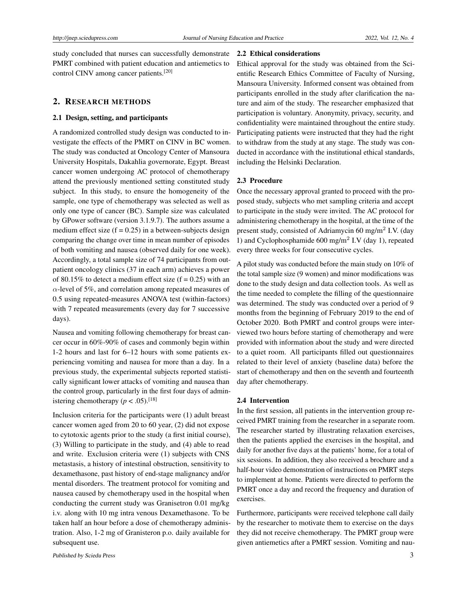study concluded that nurses can successfully demonstrate PMRT combined with patient education and antiemetics to control CINV among cancer patients.[\[20\]](#page-10-8)

#### 2. RESEARCH METHODS

#### 2.1 Design, setting, and participants

A randomized controlled study design was conducted to investigate the effects of the PMRT on CINV in BC women. The study was conducted at Oncology Center of Mansoura University Hospitals, Dakahlia governorate, Egypt. Breast cancer women undergoing AC protocol of chemotherapy attend the previously mentioned setting constituted study subject. In this study, to ensure the homogeneity of the sample, one type of chemotherapy was selected as well as only one type of cancer (BC). Sample size was calculated by GPower software (version 3.1.9.7). The authors assume a medium effect size  $(f = 0.25)$  in a between-subjects design comparing the change over time in mean number of episodes of both vomiting and nausea (observed daily for one week). Accordingly, a total sample size of 74 participants from outpatient oncology clinics (37 in each arm) achieves a power of 80.15% to detect a medium effect size  $(f = 0.25)$  with an *α*-level of 5%, and correlation among repeated measures of 0.5 using repeated-measures ANOVA test (within-factors) with 7 repeated measurements (every day for 7 successive days).

Nausea and vomiting following chemotherapy for breast cancer occur in 60%-90% of cases and commonly begin within 1-2 hours and last for 6–12 hours with some patients experiencing vomiting and nausea for more than a day. In a previous study, the experimental subjects reported statistically significant lower attacks of vomiting and nausea than the control group, particularly in the first four days of administering chemotherapy ( $p < .05$ ).<sup>[\[18\]](#page-10-6)</sup>

Inclusion criteria for the participants were (1) adult breast cancer women aged from 20 to 60 year, (2) did not expose to cytotoxic agents prior to the study (a first initial course), (3) Willing to participate in the study, and (4) able to read and write. Exclusion criteria were (1) subjects with CNS metastasis, a history of intestinal obstruction, sensitivity to dexamethasone, past history of end-stage malignancy and/or mental disorders. The treatment protocol for vomiting and nausea caused by chemotherapy used in the hospital when conducting the current study was Granisetron 0.01 mg/kg i.v. along with 10 mg intra venous Dexamethasone. To be taken half an hour before a dose of chemotherapy administration. Also, 1-2 mg of Granisteron p.o. daily available for subsequent use.

#### 2.2 Ethical considerations

Ethical approval for the study was obtained from the Scientific Research Ethics Committee of Faculty of Nursing, Mansoura University. Informed consent was obtained from participants enrolled in the study after clarification the nature and aim of the study. The researcher emphasized that participation is voluntary. Anonymity, privacy, security, and confidentiality were maintained throughout the entire study. Participating patients were instructed that they had the right to withdraw from the study at any stage. The study was conducted in accordance with the institutional ethical standards, including the Helsinki Declaration.

#### 2.3 Procedure

Once the necessary approval granted to proceed with the proposed study, subjects who met sampling criteria and accept to participate in the study were invited. The AC protocol for administering chemotherapy in the hospital, at the time of the present study, consisted of Adriamycin 60 mg/m<sup>2</sup> I.V. (day 1) and Cyclophosphamide 600 mg/m<sup>2</sup> I.V (day 1), repeated every three weeks for four consecutive cycles.

A pilot study was conducted before the main study on 10% of the total sample size (9 women) and minor modifications was done to the study design and data collection tools. As well as the time needed to complete the filling of the questionnaire was determined. The study was conducted over a period of 9 months from the beginning of February 2019 to the end of October 2020. Both PMRT and control groups were interviewed two hours before starting of chemotherapy and were provided with information about the study and were directed to a quiet room. All participants filled out questionnaires related to their level of anxiety (baseline data) before the start of chemotherapy and then on the seventh and fourteenth day after chemotherapy.

#### 2.4 Intervention

In the first session, all patients in the intervention group received PMRT training from the researcher in a separate room. The researcher started by illustrating relaxation exercises, then the patients applied the exercises in the hospital, and daily for another five days at the patients' home, for a total of six sessions. In addition, they also received a brochure and a half-hour video demonstration of instructions on PMRT steps to implement at home. Patients were directed to perform the PMRT once a day and record the frequency and duration of exercises.

Furthermore, participants were received telephone call daily by the researcher to motivate them to exercise on the days they did not receive chemotherapy. The PMRT group were given antiemetics after a PMRT session. Vomiting and nau-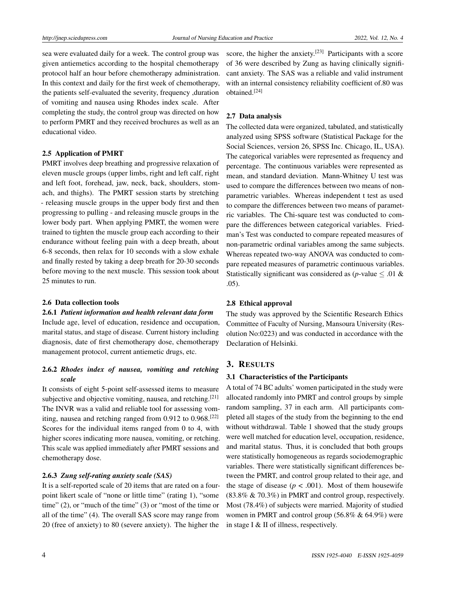sea were evaluated daily for a week. The control group was given antiemetics according to the hospital chemotherapy protocol half an hour before chemotherapy administration. In this context and daily for the first week of chemotherapy, the patients self-evaluated the severity, frequency ,duration of vomiting and nausea using Rhodes index scale. After completing the study, the control group was directed on how to perform PMRT and they received brochures as well as an educational video.

#### 2.5 Application of PMRT

PMRT involves deep breathing and progressive relaxation of eleven muscle groups (upper limbs, right and left calf, right and left foot, forehead, jaw, neck, back, shoulders, stomach, and thighs). The PMRT session starts by stretching - releasing muscle groups in the upper body first and then progressing to pulling - and releasing muscle groups in the lower body part. When applying PMRT, the women were trained to tighten the muscle group each according to their endurance without feeling pain with a deep breath, about 6-8 seconds, then relax for 10 seconds with a slow exhale and finally rested by taking a deep breath for 20-30 seconds before moving to the next muscle. This session took about 25 minutes to run.

#### 2.6 Data collection tools

#### 2.6.1 *Patient information and health relevant data form*

Include age, level of education, residence and occupation, marital status, and stage of disease. Current history including diagnosis, date of first chemotherapy dose, chemotherapy management protocol, current antiemetic drugs, etc.

# 2.6.2 *Rhodes index of nausea, vomiting and retching scale*

It consists of eight 5-point self-assessed items to measure subjective and objective vomiting, nausea, and retching.<sup>[\[21\]](#page-10-9)</sup> The INVR was a valid and reliable tool for assessing vom-iting, nausea and retching ranged from 0.912 to 0.968.<sup>[\[22\]](#page-10-10)</sup> Scores for the individual items ranged from 0 to 4, with higher scores indicating more nausea, vomiting, or retching. This scale was applied immediately after PMRT sessions and chemotherapy dose.

#### 2.6.3 *Zung self-rating anxiety scale (SAS)*

It is a self-reported scale of 20 items that are rated on a fourpoint likert scale of "none or little time" (rating 1), "some time" (2), or "much of the time" (3) or "most of the time or all of the time" (4). The overall SAS score may range from 20 (free of anxiety) to 80 (severe anxiety). The higher the

score, the higher the anxiety.<sup>[\[23\]](#page-10-11)</sup> Participants with a score of 36 were described by Zung as having clinically significant anxiety. The SAS was a reliable and valid instrument with an internal consistency reliability coefficient of.80 was obtained.[\[24\]](#page-10-12)

## 2.7 Data analysis

The collected data were organized, tabulated, and statistically analyzed using SPSS software (Statistical Package for the Social Sciences, version 26, SPSS Inc. Chicago, IL, USA). The categorical variables were represented as frequency and percentage. The continuous variables were represented as mean, and standard deviation. Mann-Whitney U test was used to compare the differences between two means of nonparametric variables. Whereas independent t test as used to compare the differences between two means of parametric variables. The Chi-square test was conducted to compare the differences between categorical variables. Friedman's Test was conducted to compare repeated measures of non-parametric ordinal variables among the same subjects. Whereas repeated two-way ANOVA was conducted to compare repeated measures of parametric continuous variables. Statistically significant was considered as  $(p$ -value  $\leq .01 \&$ .05).

#### 2.8 Ethical approval

The study was approved by the Scientific Research Ethics Committee of Faculty of Nursing, Mansoura University (Resolution No:0223) and was conducted in accordance with the Declaration of Helsinki.

## 3. RESULTS

#### 3.1 Characteristics of the Participants

A total of 74 BC adults' women participated in the study were allocated randomly into PMRT and control groups by simple random sampling, 37 in each arm. All participants completed all stages of the study from the beginning to the end without withdrawal. Table 1 showed that the study groups were well matched for education level, occupation, residence, and marital status. Thus, it is concluded that both groups were statistically homogeneous as regards sociodemographic variables. There were statistically significant differences between the PMRT, and control group related to their age, and the stage of disease ( $p < .001$ ). Most of them housewife (83.8% & 70.3%) in PMRT and control group, respectively. Most (78.4%) of subjects were married. Majority of studied women in PMRT and control group (56.8% & 64.9%) were in stage I & II of illness, respectively.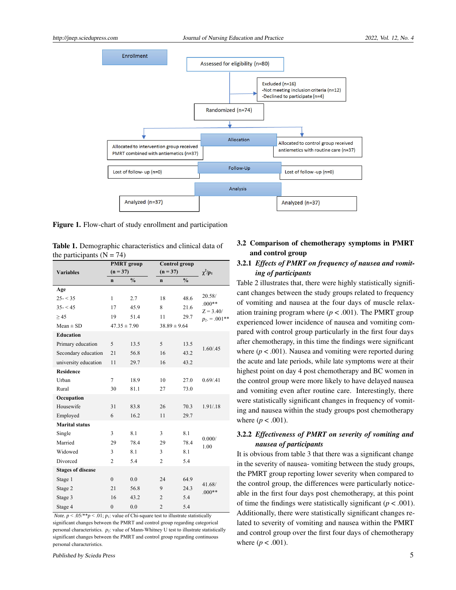

Figure 1. Flow-chart of study enrollment and participation

| Table 1. Demographic characteristics and clinical data of |  |
|-----------------------------------------------------------|--|
| the participants ( $N = 74$ )                             |  |

|                          | <b>PMRT</b> group |               | Control group    |               |                         |  |
|--------------------------|-------------------|---------------|------------------|---------------|-------------------------|--|
| <b>Variables</b>         | $(n = 37)$        |               | $(n = 37)$       |               | $\chi^2/p_1$            |  |
|                          | $\mathbf{n}$      | $\frac{0}{0}$ | $\mathbf n$      | $\frac{0}{0}$ |                         |  |
| Age                      |                   |               |                  |               |                         |  |
| $25 - 35$                | $\mathbf{1}$      | 2.7           | 18               | 48.6          | 20.58/                  |  |
| $35 - 45$                | 17                | 45.9          | 8                | 21.6          | $.000**$<br>$Z = 3.40/$ |  |
| > 45                     | 19                | 51.4          | 11               | 29.7          | $p_2 = .001**$          |  |
| $Mean \pm SD$            | $47.35 \pm 7.90$  |               | $38.89 \pm 9.64$ |               |                         |  |
| <b>Education</b>         |                   |               |                  |               |                         |  |
| Primary education        | 5                 | 13.5          | 5                | 13.5          | 1.60 / .45              |  |
| Secondary education      | 21                | 56.8          | 16               | 43.2          |                         |  |
| university education     | 11                | 29.7          | 16               | 43.2          |                         |  |
| <b>Residence</b>         |                   |               |                  |               |                         |  |
| Urban                    | $\overline{7}$    | 18.9          | 10               | 27.0          | 0.69/0.41               |  |
| Rural                    | 30                | 81.1          | 27               | 73.0          |                         |  |
| Occupation               |                   |               |                  |               |                         |  |
| Housewife                | 31                | 83.8          | 26               | 70.3          | 1.91/.18                |  |
| Employed                 | 6                 | 16.2          | 11               | 29.7          |                         |  |
| <b>Marital status</b>    |                   |               |                  |               |                         |  |
| Single                   | 3                 | 8.1           | 3                | 8.1           |                         |  |
| Married                  | 29                | 78.4          | 29               | 78.4          | 0.000/<br>1.00          |  |
| Widowed                  | 3                 | 8.1           | 3                | 8.1           |                         |  |
| Divorced                 | $\overline{c}$    | 5.4           | $\overline{c}$   | 5.4           |                         |  |
| <b>Stages of disease</b> |                   |               |                  |               |                         |  |
| Stage 1                  | $\mathbf{0}$      | 0.0           | 24               | 64.9          |                         |  |
| Stage 2                  | 21                | 56.8          | 9                | 24.3          | 41.68/<br>$.000**$      |  |
| Stage 3                  | 16                | 43.2          | $\overline{2}$   | 5.4           |                         |  |
| Stage 4                  | $\overline{0}$    | 0.0           | $\overline{c}$   | 5.4           |                         |  |

*Note.*  $p < .05$ /\*\* $p < .01$ ;  $p_1$ : value of Chi-square test to illustrate statistically significant changes between the PMRT and control group regarding categorical personal characteristics. *p*2: value of Mann-Whitney U test to illustrate statistically significant changes between the PMRT and control group regarding continuous personal characteristics.

# 3.2 Comparison of chemotherapy symptoms in PMRT and control group

## 3.2.1 *Effects of PMRT on frequency of nausea and vomiting of participants*

Table 2 illustrates that, there were highly statistically significant changes between the study groups related to frequency of vomiting and nausea at the four days of muscle relaxation training program where  $(p < .001)$ . The PMRT group experienced lower incidence of nausea and vomiting compared with control group particularly in the first four days after chemotherapy, in this time the findings were significant where  $(p < .001)$ . Nausea and vomiting were reported during the acute and late periods, while late symptoms were at their highest point on day 4 post chemotherapy and BC women in the control group were more likely to have delayed nausea and vomiting even after routine care. Interestingly, there were statistically significant changes in frequency of vomiting and nausea within the study groups post chemotherapy where  $(p < .001)$ .

# 3.2.2 *Effectiveness of PMRT on severity of vomiting and nausea of participants*

It is obvious from table 3 that there was a significant change in the severity of nausea- vomiting between the study groups, the PMRT group reporting lower severity when compared to the control group, the differences were particularly noticeable in the first four days post chemotherapy, at this point of time the findings were statistically significant ( $p < .001$ ). Additionally, there were statistically significant changes related to severity of vomiting and nausea within the PMRT and control group over the first four days of chemotherapy where  $(p < .001)$ .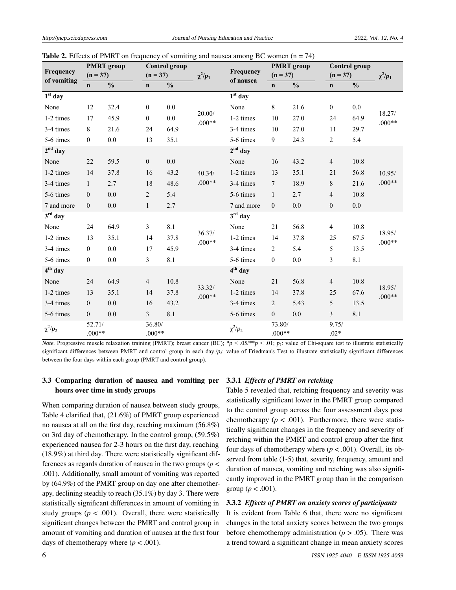| Frequency    | <b>PMRT</b> group<br>$(n = 37)$ |               | <b>Control group</b><br>$(n = 37)$ |               | $\chi^2/p_1$       | Frequency<br>of nausea | <b>PMRT</b> group<br>$(n = 37)$ |               | <b>Control group</b><br>$(n = 37)$ |               | $\chi^2/p_1$       |
|--------------|---------------------------------|---------------|------------------------------------|---------------|--------------------|------------------------|---------------------------------|---------------|------------------------------------|---------------|--------------------|
| of vomiting  | $\mathbf n$                     | $\frac{0}{0}$ | $\mathbf n$                        | $\frac{0}{0}$ |                    |                        | $\mathbf n$                     | $\frac{0}{0}$ | $\mathbf n$                        | $\frac{0}{0}$ |                    |
| $1st$ day    |                                 |               |                                    |               |                    | $1st$ day              |                                 |               |                                    |               |                    |
| None         | 12                              | 32.4          | $\boldsymbol{0}$                   | 0.0           |                    | None                   | 8                               | 21.6          | $\boldsymbol{0}$                   | 0.0           |                    |
| 1-2 times    | 17                              | 45.9          | $\boldsymbol{0}$                   | $0.0\,$       | 20.00/<br>$.000**$ | 1-2 times              | 10                              | 27.0          | 24                                 | 64.9          | 18.27/<br>$.000**$ |
| 3-4 times    | $\,8\,$                         | 21.6          | 24                                 | 64.9          |                    | 3-4 times              | 10                              | 27.0          | 11                                 | 29.7          |                    |
| 5-6 times    | $\mathbf{0}$                    | $0.0\,$       | 13                                 | 35.1          |                    | 5-6 times              | 9                               | 24.3          | $\sqrt{2}$                         | 5.4           |                    |
| $2nd$ day    |                                 |               |                                    |               |                    | $2nd$ day              |                                 |               |                                    |               |                    |
| None         | 22                              | 59.5          | $\boldsymbol{0}$                   | $0.0\,$       |                    | None                   | 16                              | 43.2          | $\overline{4}$                     | 10.8          |                    |
| 1-2 times    | 14                              | 37.8          | 16                                 | 43.2          | 40.34/             | 1-2 times              | 13                              | 35.1          | 21                                 | 56.8          | 10.95/             |
| 3-4 times    | 1                               | 2.7           | 18                                 | 48.6          | $.000**$           | 3-4 times              | $7\phantom{.0}$                 | 18.9          | $\,$ 8 $\,$                        | 21.6          | $.000**$           |
| 5-6 times    | $\boldsymbol{0}$                | 0.0           | $\overline{2}$                     | 5.4           |                    | 5-6 times              | $\mathbf{1}$                    | 2.7           | $\overline{4}$                     | 10.8          |                    |
| 7 and more   | $\boldsymbol{0}$                | 0.0           | $\mathbf{1}$                       | 2.7           |                    | 7 and more             | $\mathbf{0}$                    | 0.0           | $\boldsymbol{0}$                   | 0.0           |                    |
| $3rd$ day    |                                 |               |                                    |               |                    | $3rd$ day              |                                 |               |                                    |               |                    |
| None         | 24                              | 64.9          | $\mathfrak{Z}$                     | 8.1           |                    | None                   | 21                              | 56.8          | $\overline{4}$                     | 10.8          |                    |
| 1-2 times    | 13                              | 35.1          | 14                                 | 37.8          | 36.37/<br>$.000**$ | 1-2 times              | 14                              | 37.8          | 25                                 | 67.5          | 18.95/<br>$.000**$ |
| 3-4 times    | $\mathbf{0}$                    | $0.0\,$       | 17                                 | 45.9          |                    | 3-4 times              | $\overline{2}$                  | 5.4           | 5                                  | 13.5          |                    |
| 5-6 times    | $\boldsymbol{0}$                | $0.0\,$       | $\overline{3}$                     | 8.1           |                    | 5-6 times              | $\boldsymbol{0}$                | 0.0           | 3                                  | 8.1           |                    |
| $4th$ day    |                                 |               |                                    |               |                    | $4th$ day              |                                 |               |                                    |               |                    |
| None         | 24                              | 64.9          | $\overline{4}$                     | 10.8          |                    | None                   | 21                              | 56.8          | $\overline{4}$                     | 10.8          |                    |
| 1-2 times    | 13                              | 35.1          | 14                                 | 37.8          | 33.32/<br>$.000**$ | 1-2 times              | 14                              | 37.8          | 25                                 | 67.6          | 18.95/<br>$.000**$ |
| 3-4 times    | $\boldsymbol{0}$                | 0.0           | 16                                 | 43.2          |                    | 3-4 times              | $\overline{2}$                  | 5.43          | 5                                  | 13.5          |                    |
| 5-6 times    | $\boldsymbol{0}$                | 0.0           | 3                                  | 8.1           |                    | 5-6 times              | $\boldsymbol{0}$                | 0.0           | $\mathfrak{Z}$                     | 8.1           |                    |
| $\chi^2/p_2$ | 52.71/<br>$.000**$              |               | 36.80/<br>$.000**$                 |               |                    | $\chi^2/p_2$           | 73.80/<br>$.000**$              |               | 9.75/<br>$.02*$                    |               |                    |

**Table 2.** Effects of PMRT on frequency of vomiting and nausea among BC women  $(n = 74)$ 

*Note.* Progressive muscle relaxation training (PMRT); breast cancer (BC); \**p* < .05/\*\**p* < .01; *p*1: value of Chi-square test to illustrate statistically significant differences between PMRT and control group in each day./p<sub>2</sub>: value of Friedman's Test to illustrate statistically significant differences between the four days within each group (PMRT and control group).

# 3.3 Comparing duration of nausea and vomiting per hours over time in study groups

When comparing duration of nausea between study groups, Table 4 clarified that, (21.6%) of PMRT group experienced no nausea at all on the first day, reaching maximum (56.8%) on 3rd day of chemotherapy. In the control group, (59.5%) experienced nausea for 2-3 hours on the first day, reaching (18.9%) at third day. There were statistically significant differences as regards duration of nausea in the two groups (*p* < .001). Additionally, small amount of vomiting was reported by (64.9%) of the PMRT group on day one after chemotherapy, declining steadily to reach (35.1%) by day 3. There were statistically significant differences in amount of vomiting in study groups ( $p < .001$ ). Overall, there were statistically significant changes between the PMRT and control group in amount of vomiting and duration of nausea at the first four days of chemotherapy where  $(p < .001)$ .

#### 3.3.1 *Effects of PMRT on retching*

Table 5 revealed that, retching frequency and severity was statistically significant lower in the PMRT group compared to the control group across the four assessment days post chemotherapy  $(p < .001)$ . Furthermore, there were statistically significant changes in the frequency and severity of retching within the PMRT and control group after the first four days of chemotherapy where  $(p < .001)$ . Overall, its observed from table (1-5) that, severity, frequency, amount and duration of nausea, vomiting and retching was also significantly improved in the PMRT group than in the comparison group ( $p < .001$ ).

#### 3.3.2 *Effects of PMRT on anxiety scores of participants*

It is evident from Table 6 that, there were no significant changes in the total anxiety scores between the two groups before chemotherapy administration ( $p > .05$ ). There was a trend toward a significant change in mean anxiety scores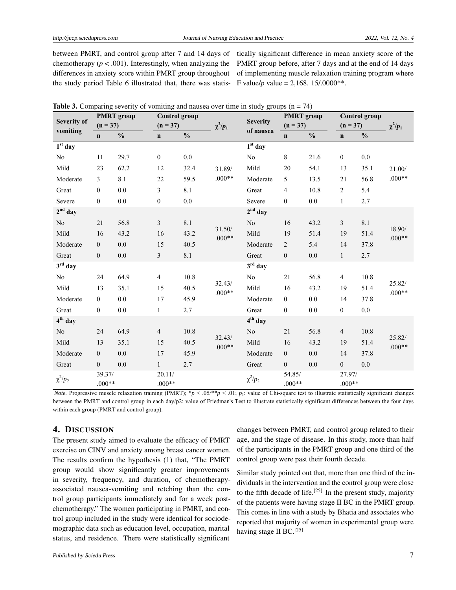between PMRT, and control group after 7 and 14 days of chemotherapy  $(p < .001)$ . Interestingly, when analyzing the differences in anxiety score within PMRT group throughout the study period Table 6 illustrated that, there was statis-

tically significant difference in mean anxiety score of the PMRT group before, after 7 days and at the end of 14 days of implementing muscle relaxation training program where F value/*p* value = 2,168. 15/.0000\*\*.

| <b>Severity of</b> | <b>PMRT</b> group  |               | <b>Control</b> group |               |                    | <b>Severity</b> | <b>PMRT</b> group  |               | <b>Control group</b> |               |                    |
|--------------------|--------------------|---------------|----------------------|---------------|--------------------|-----------------|--------------------|---------------|----------------------|---------------|--------------------|
| vomiting           | $(n = 37)$         |               | $(n = 37)$           |               | $\chi^2/p_1$       | of nausea       | $(n = 37)$         |               | $(n = 37)$           |               | $\chi^2/p_1$       |
|                    | $\mathbf n$        | $\frac{0}{0}$ | $\mathbf n$          | $\frac{0}{0}$ |                    |                 | $\mathbf n$        | $\frac{0}{0}$ | $\mathbf n$          | $\frac{0}{0}$ |                    |
| $1st$ day          |                    |               |                      |               |                    | $1st$ day       |                    |               |                      |               |                    |
| No                 | 11                 | 29.7          | $\boldsymbol{0}$     | 0.0           |                    | $\rm No$        | $\,$ 8 $\,$        | 21.6          | $\mathbf{0}$         | $0.0\,$       |                    |
| Mild               | 23                 | 62.2          | 12                   | 32.4          | 31.89/             | Mild            | 20                 | 54.1          | 13                   | 35.1          | 21.00/             |
| Moderate           | $\mathfrak{Z}$     | 8.1           | 22                   | 59.5          | $.000**$           | Moderate        | 5                  | 13.5          | 21                   | 56.8          | $.000**$           |
| Great              | $\mathbf{0}$       | 0.0           | $\overline{3}$       | 8.1           |                    | Great           | $\overline{4}$     | 10.8          | 2                    | 5.4           |                    |
| Severe             | $\boldsymbol{0}$   | $0.0\,$       | $\boldsymbol{0}$     | $0.0\,$       |                    | Severe          | $\boldsymbol{0}$   | $0.0\,$       | $\mathbf{1}$         | 2.7           |                    |
| $2nd$ day          |                    |               |                      |               |                    | $2nd$ day       |                    |               |                      |               |                    |
| N <sub>o</sub>     | 21                 | 56.8          | $\mathfrak{Z}$       | 8.1           |                    | No              | 16                 | 43.2          | $\mathfrak{Z}$       | 8.1           |                    |
| Mild               | 16                 | 43.2          | 16                   | 43.2          | 31.50/<br>$.000**$ | Mild            | 19                 | 51.4          | 19                   | 51.4          | 18.90/<br>$.000**$ |
| Moderate           | $\mathbf{0}$       | $0.0\,$       | 15                   | 40.5          |                    | Moderate        | $\overline{c}$     | 5.4           | 14                   | 37.8          |                    |
| Great              | $\mathbf{0}$       | $0.0\,$       | $\mathfrak{Z}$       | 8.1           |                    | Great           | $\boldsymbol{0}$   | $0.0\,$       | $\mathbf{1}$         | 2.7           |                    |
| $3rd$ day          |                    |               |                      |               |                    | $3rd$ day       |                    |               |                      |               |                    |
| No.                | 24                 | 64.9          | $\overline{4}$       | 10.8          |                    | N <sub>0</sub>  | $21\,$             | 56.8          | 4                    | 10.8          |                    |
| Mild               | 13                 | 35.1          | 15                   | 40.5          | 32.43/<br>$.000**$ | Mild            | 16                 | 43.2          | 19                   | 51.4          | 25.82/<br>$.000**$ |
| Moderate           | $\boldsymbol{0}$   | $0.0\,$       | 17                   | 45.9          |                    | Moderate        | $\boldsymbol{0}$   | $0.0\,$       | 14                   | 37.8          |                    |
| Great              | $\mathbf{0}$       | $0.0\,$       | $\mathbf{1}$         | 2.7           |                    | Great           | $\boldsymbol{0}$   | $0.0\,$       | $\boldsymbol{0}$     | 0.0           |                    |
| $4th$ day          |                    |               |                      |               |                    | $4th$ day       |                    |               |                      |               |                    |
| No                 | 24                 | 64.9          | $\overline{4}$       | 10.8          |                    | No              | 21                 | 56.8          | $\overline{4}$       | 10.8          |                    |
| Mild               | 13                 | 35.1          | 15                   | 40.5          | 32.43/<br>$.000**$ | Mild            | 16                 | 43.2          | 19                   | 51.4          | 25.82/<br>$.000**$ |
| Moderate           | $\mathbf{0}$       | $0.0\,$       | 17                   | 45.9          |                    | Moderate        | $\boldsymbol{0}$   | $0.0\,$       | 14                   | 37.8          |                    |
| Great              | $\boldsymbol{0}$   | 0.0           | $\mathbf{1}$         | 2.7           |                    | Great           | $\boldsymbol{0}$   | 0.0           | $\boldsymbol{0}$     | 0.0           |                    |
| $\chi^2/p_2$       | 39.37/<br>$.000**$ |               | 20.11/<br>$.000**$   |               |                    | $\chi^2/p_2$    | 54.85/<br>$.000**$ |               | 27.97/<br>$.000**$   |               |                    |

|  |  |  | <b>Table 3.</b> Comparing severity of vomiting and nausea over time in study groups $(n = 74)$ |  |  |  |  |  |
|--|--|--|------------------------------------------------------------------------------------------------|--|--|--|--|--|
|--|--|--|------------------------------------------------------------------------------------------------|--|--|--|--|--|

*Note.* Progressive muscle relaxation training (PMRT);  $\frac{p}{p}$  < .05/\*\*p < .01;  $p_1$ : value of Chi-square test to illustrate statistically significant changes between the PMRT and control group in each day/p2: value of Friedman's Test to illustrate statistically significant differences between the four days within each group (PMRT and control group).

# 4. DISCUSSION

The present study aimed to evaluate the efficacy of PMRT exercise on CINV and anxiety among breast cancer women. The results confirm the hypothesis (1) that, "The PMRT group would show significantly greater improvements in severity, frequency, and duration, of chemotherapyassociated nausea-vomiting and retching than the control group participants immediately and for a week postchemotherapy." The women participating in PMRT, and control group included in the study were identical for sociodemographic data such as education level, occupation, marital status, and residence. There were statistically significant

of the participants in the PMRT group and one third of the control group were past their fourth decade. Similar study pointed out that, more than one third of the in-

dividuals in the intervention and the control group were close to the fifth decade of life.<sup>[\[25\]](#page-10-13)</sup> In the present study, majority of the patients were having stage II BC in the PMRT group. This comes in line with a study by Bhatia and associates who reported that majority of women in experimental group were having stage II BC.<sup>[\[25\]](#page-10-13)</sup>

changes between PMRT, and control group related to their age, and the stage of disease. In this study, more than half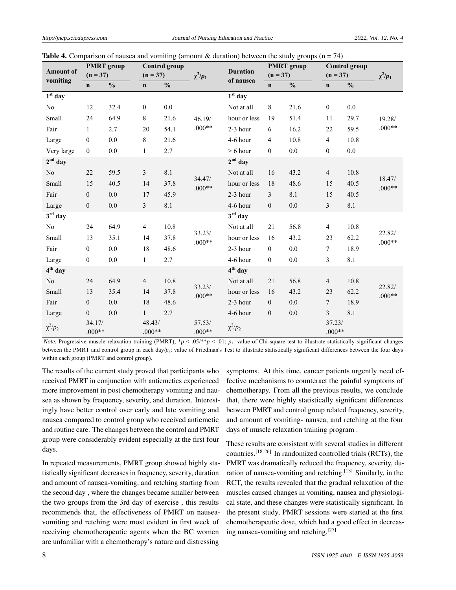|                              |                    | <b>PMRT</b> group |                    | <b>Control</b> group |                    |                              |                  | ັັ<br><b>PMRT</b> group |                    | <b>Control</b> group |                    |  |
|------------------------------|--------------------|-------------------|--------------------|----------------------|--------------------|------------------------------|------------------|-------------------------|--------------------|----------------------|--------------------|--|
| <b>Amount of</b><br>vomiting | $(n = 37)$         |                   | $(n = 37)$         |                      | $\chi^2/p_1$       | <b>Duration</b><br>of nausea | $(n = 37)$       |                         | $(n = 37)$         |                      | $\chi^2/p_1$       |  |
|                              | $\mathbf n$        | $\frac{0}{0}$     | $\mathbf n$        | $\frac{0}{0}$        |                    |                              | $\mathbf n$      | $\frac{0}{0}$           | $\mathbf n$        | $\frac{0}{0}$        |                    |  |
| $1st$ day                    |                    |                   |                    |                      |                    | $1st$ day                    |                  |                         |                    |                      |                    |  |
| No                           | 12                 | 32.4              | $\boldsymbol{0}$   | $0.0\,$              |                    | Not at all                   | $\,8\,$          | 21.6                    | $\boldsymbol{0}$   | $0.0\,$              |                    |  |
| Small                        | 24                 | 64.9              | $8\,$              | 21.6                 | 46.19/             | hour or less                 | 19               | 51.4                    | 11                 | 29.7                 | 19.28/             |  |
| Fair                         | $\mathbf{1}$       | 2.7               | 20                 | 54.1                 | $.000**$           | 2-3 hour                     | 6                | 16.2                    | 22                 | 59.5                 | $.000**$           |  |
| Large                        | $\boldsymbol{0}$   | $0.0\,$           | $8\,$              | 21.6                 |                    | 4-6 hour                     | $\overline{4}$   | 10.8                    | $\overline{4}$     | 10.8                 |                    |  |
| Very large                   | $\theta$           | $0.0\,$           | 1                  | 2.7                  |                    | $> 6$ hour                   | $\mathbf{0}$     | 0.0                     | $\boldsymbol{0}$   | $0.0\,$              |                    |  |
| $2nd$ day                    |                    |                   |                    |                      |                    | $2nd$ day                    |                  |                         |                    |                      |                    |  |
| No                           | $22\,$             | 59.5              | $\mathfrak{Z}$     | 8.1                  |                    | Not at all                   | 16               | 43.2                    | $\overline{4}$     | 10.8                 |                    |  |
| Small                        | 15                 | 40.5              | 14                 | 37.8                 | 34.47/<br>$.000**$ | hour or less                 | 18               | 48.6                    | 15                 | 40.5                 | 18.47/<br>$.000**$ |  |
| Fair                         | $\boldsymbol{0}$   | $0.0\,$           | 17                 | 45.9                 |                    | 2-3 hour                     | 3                | 8.1                     | 15                 | 40.5                 |                    |  |
| Large                        | $\boldsymbol{0}$   | $0.0\,$           | $\mathfrak{Z}$     | 8.1                  |                    | 4-6 hour                     | $\mathbf{0}$     | $0.0\,$                 | 3                  | 8.1                  |                    |  |
| $3rd$ day                    |                    |                   |                    |                      |                    | $3rd$ day                    |                  |                         |                    |                      |                    |  |
| N <sub>0</sub>               | 24                 | 64.9              | $\overline{4}$     | 10.8                 |                    | Not at all                   | 21               | 56.8                    | 4                  | 10.8                 |                    |  |
| Small                        | 13                 | 35.1              | 14                 | 37.8                 | 33.23/<br>$.000**$ | hour or less                 | 16               | 43.2                    | 23                 | 62.2                 | 22.82/<br>$.000**$ |  |
| Fair                         | $\boldsymbol{0}$   | 0.0               | 18                 | 48.6                 |                    | $2-3$ hour                   | $\mathbf{0}$     | 0.0                     | 7                  | 18.9                 |                    |  |
| Large                        | $\boldsymbol{0}$   | 0.0               | $\mathbf{1}$       | 2.7                  |                    | 4-6 hour                     | $\theta$         | 0.0                     | 3                  | 8.1                  |                    |  |
| $4th$ day                    |                    |                   |                    |                      |                    | $4th$ day                    |                  |                         |                    |                      |                    |  |
| N <sub>o</sub>               | 24                 | 64.9              | $\overline{4}$     | 10.8                 |                    | Not at all                   | 21               | 56.8                    | $\overline{4}$     | 10.8                 |                    |  |
| Small                        | 13                 | 35.4              | 14                 | 37.8                 | 33.23/<br>$.000**$ | hour or less                 | 16               | 43.2                    | 23                 | 62.2                 | 22.82/<br>$.000**$ |  |
| Fair                         | $\mathbf{0}$       | 0.0               | 18                 | 48.6                 |                    | 2-3 hour                     | $\overline{0}$   | 0.0                     | $\overline{7}$     | 18.9                 |                    |  |
| Large                        | $\boldsymbol{0}$   | 0.0               | $\mathbf{1}$       | 2.7                  |                    | 4-6 hour                     | $\boldsymbol{0}$ | $0.0\,$                 | 3                  | 8.1                  |                    |  |
| $\chi^2/p_2$                 | 34.17/<br>$.000**$ |                   | 48.43/<br>$.000**$ |                      | 57.53/<br>$.000**$ | $\chi^2/p_2$                 |                  |                         | 37.23/<br>$.000**$ |                      |                    |  |

| <b>Table 4.</b> Comparison of nausea and vomiting (amount & duration) between the study groups ( $n = 74$ ) |  |  |  |  |  |  |  |  |  |  |
|-------------------------------------------------------------------------------------------------------------|--|--|--|--|--|--|--|--|--|--|
|-------------------------------------------------------------------------------------------------------------|--|--|--|--|--|--|--|--|--|--|

*Note.* Progressive muscle relaxation training (PMRT); \**p* < .05/\*\**p* < .01; *p*<sub>1</sub>: value of Chi-square test to illustrate statistically significant changes between the PMRT and control group in each day/ $p_2$ : value of Friedman's Test to illustrate statistically significant differences between the four days within each group (PMRT and control group).

The results of the current study proved that participants who received PMRT in conjunction with antiemetics experienced more improvement in post chemotherapy vomiting and nausea as shown by frequency, severity, and duration. Interestingly have better control over early and late vomiting and nausea compared to control group who received antiemetic and routine care. The changes between the control and PMRT group were considerably evident especially at the first four days.

In repeated measurements, PMRT group showed highly statistically significant decreases in frequency, severity, duration and amount of nausea-vomiting, and retching starting from the second day , where the changes became smaller between the two groups from the 3rd day of exercise , this results recommends that, the effectiveness of PMRT on nauseavomiting and retching were most evident in first week of receiving chemotherapeutic agents when the BC women are unfamiliar with a chemotherapy's nature and distressing

symptoms. At this time, cancer patients urgently need effective mechanisms to counteract the painful symptoms of chemotherapy. From all the previous results, we conclude that, there were highly statistically significant differences between PMRT and control group related frequency, severity, and amount of vomiting- nausea, and retching at the four days of muscle relaxation training program .

These results are consistent with several studies in different countries.<sup>[\[18,](#page-10-6)[26\]](#page-10-14)</sup> In randomized controlled trials (RCTs), the PMRT was dramatically reduced the frequency, severity, du-ration of nausea-vomiting and retching.<sup>[\[13\]](#page-10-1)</sup> Similarly, in the RCT, the results revealed that the gradual relaxation of the muscles caused changes in vomiting, nausea and physiological state, and these changes were statistically significant. In the present study, PMRT sessions were started at the first chemotherapeutic dose, which had a good effect in decreasing nausea-vomiting and retching.[\[27\]](#page-10-15)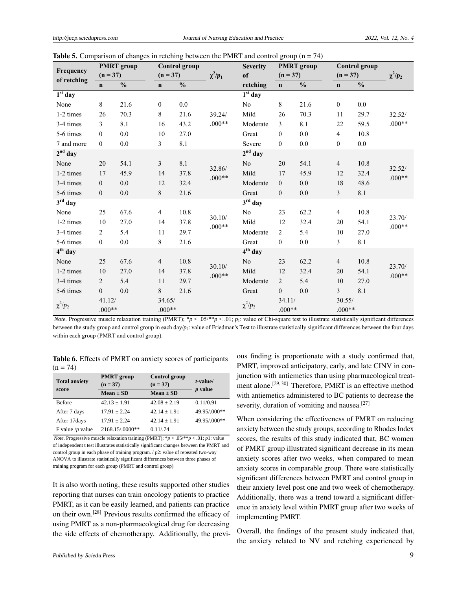|              |                    | <b>PMRT</b> group |                    | <b>Control</b> group |              | <b>Severity</b> |                    | $\mathbf{r}$<br><b>PMRT</b> group |                    | Control group |              |
|--------------|--------------------|-------------------|--------------------|----------------------|--------------|-----------------|--------------------|-----------------------------------|--------------------|---------------|--------------|
| Frequency    | $(n = 37)$         |                   | $(n = 37)$         |                      | $\chi^2/p_1$ | of              | $(n = 37)$         |                                   | $(n = 37)$         |               | $\chi^2/p_2$ |
| of retching  | $\mathbf n$        | $\frac{0}{0}$     | $\mathbf n$        | $\frac{0}{0}$        |              | retching        | $\mathbf{n}$       | $\frac{0}{0}$                     | $\mathbf n$        | $\frac{0}{0}$ |              |
| $1st$ day    |                    |                   |                    |                      |              | $1st$ day       |                    |                                   |                    |               |              |
| None         | 8                  | 21.6              | 0                  | 0.0                  |              | No              | 8                  | 21.6                              | $\overline{0}$     | 0.0           |              |
| 1-2 times    | 26                 | 70.3              | 8                  | 21.6                 | 39.24/       | Mild            | 26                 | 70.3                              | 11                 | 29.7          | 32.52/       |
| 3-4 times    | 3                  | 8.1               | 16                 | 43.2                 | $.000**$     | Moderate        | 3                  | 8.1                               | 22                 | 59.5          | $.000**$     |
| 5-6 times    | $\mathbf{0}$       | 0.0               | 10                 | 27.0                 |              | Great           | $\mathbf{0}$       | 0.0                               | $\overline{4}$     | 10.8          |              |
| 7 and more   | $\boldsymbol{0}$   | 0.0               | $\mathfrak{Z}$     | 8.1                  |              | Severe          | $\mathbf{0}$       | 0.0                               | $\boldsymbol{0}$   | 0.0           |              |
| $2nd$ day    |                    |                   |                    |                      |              | $2nd$ day       |                    |                                   |                    |               |              |
| None         | 20                 | 54.1              | 3                  | 8.1                  | 32.86/       | No              | 20                 | 54.1                              | $\overline{4}$     | 10.8          | 32.52/       |
| 1-2 times    | 17                 | 45.9              | 14                 | 37.8                 | $.000**$     | Mild            | 17                 | 45.9                              | 12                 | 32.4          | $.000**$     |
| 3-4 times    | $\mathbf{0}$       | 0.0               | 12                 | 32.4                 |              | Moderate        | $\mathbf{0}$       | 0.0                               | 18                 | 48.6          |              |
| 5-6 times    | $\overline{0}$     | $0.0\,$           | $8\,$              | 21.6                 |              | Great           | $\mathbf{0}$       | 0.0                               | $\mathfrak{Z}$     | 8.1           |              |
| $3rd$ day    |                    |                   |                    |                      |              | $3rd$ day       |                    |                                   |                    |               |              |
| None         | 25                 | 67.6              | $\overline{4}$     | 10.8                 | 30.10/       | No              | 23                 | 62.2                              | $\overline{4}$     | 10.8          | 23.70/       |
| 1-2 times    | 10                 | 27.0              | 14                 | 37.8                 | $.000**$     | Mild            | 12                 | 32.4                              | 20                 | 54.1          | $.000**$     |
| 3-4 times    | 2                  | 5.4               | 11                 | 29.7                 |              | Moderate        | 2                  | 5.4                               | 10                 | 27.0          |              |
| 5-6 times    | $\boldsymbol{0}$   | $0.0\,$           | 8                  | 21.6                 |              | Great           | $\boldsymbol{0}$   | $0.0\,$                           | 3                  | 8.1           |              |
| $4th$ day    |                    |                   |                    |                      |              | $4th$ day       |                    |                                   |                    |               |              |
| None         | 25                 | 67.6              | $\overline{4}$     | 10.8                 | 30.10/       | N <sub>o</sub>  | 23                 | 62.2                              | $\overline{4}$     | 10.8          | 23.70/       |
| 1-2 times    | 10                 | 27.0              | 14                 | 37.8                 | $.000**$     | Mild            | 12                 | 32.4                              | 20                 | 54.1          | $.000**$     |
| 3-4 times    | $\overline{2}$     | 5.4               | 11                 | 29.7                 |              | Moderate        | $\overline{2}$     | 5.4                               | 10                 | 27.0          |              |
| 5-6 times    | $\overline{0}$     | 0.0               | 8                  | 21.6                 |              | Great           | $\boldsymbol{0}$   | 0.0                               | $\overline{3}$     | $8.1\,$       |              |
| $\chi^2/p_2$ | 41.12/<br>$.000**$ |                   | 34.65/<br>$.000**$ |                      |              | $\chi^2/p_2$    | 34.11/<br>$.000**$ |                                   | 30.55/<br>$.000**$ |               |              |

**Table 5.** Comparison of changes in retching between the PMRT and control group  $(n = 74)$ 

*Note.* Progressive muscle relaxation training (PMRT); \**p* < .05/\*\**p* < .01; *p*<sub>1</sub>: value of Chi-square test to illustrate statistically significant differences between the study group and control group in each day/*p*2: value of Friedman's Test to illustrate statistically significant differences between the four days within each group (PMRT and control group).

Table 6. Effects of PMRT on anxiety scores of participants  $(n = 74)$ 

| <b>Total anxiety</b> | <b>PMRT</b> group<br>$(n = 37)$ | Control group<br>$(n = 37)$ | $t$ -value/<br>$p$ value |  |  |
|----------------------|---------------------------------|-----------------------------|--------------------------|--|--|
| score                | $Mean \pm SD$                   | $Mean \pm SD$               |                          |  |  |
| Before               | $42.13 \pm 1.91$                | $42.08 + 2.19$              | 0.11/0.91                |  |  |
| After 7 days         | $17.91 + 2.24$                  | $42.14 \pm 1.91$            | 49.95/.000**             |  |  |
| After 17 days        | $17.91 \pm 2.24$                | $42.14 \pm 1.91$            | 49.95/.000**             |  |  |
| F value / $p$ value  | 2168.15/.0000**                 | 0.11/0.74                   |                          |  |  |

*Note.* Progressive muscle relaxation training (PMRT);  $* p < .05/*p < .01$ ; *p*1: value of independent t test illustrates statistically significant changes between the PMRT and control group in each phase of training program. / p2: value of repeated two-way ANOVA to illustrate statistically significant differences between three phases of training program for each group (PMRT and control group)

It is also worth noting, these results supported other studies reporting that nurses can train oncology patients to practice PMRT, as it can be easily learned, and patients can practice on their own.[\[28\]](#page-10-16) Previous results confirmed the efficacy of using PMRT as a non-pharmacological drug for decreasing the side effects of chemotherapy. Additionally, the previ-

ous finding is proportionate with a study confirmed that, PMRT, improved anticipatory, early, and late CINV in conjunction with antiemetics than using pharmacological treat-ment alone.<sup>[\[29,](#page-10-17) [30\]](#page-10-18)</sup> Therefore, PMRT is an effective method with antiemetics administered to BC patients to decrease the severity, duration of vomiting and nausea.<sup>[\[27\]](#page-10-15)</sup>

When considering the effectiveness of PMRT on reducing anxiety between the study groups, according to Rhodes Index scores, the results of this study indicated that, BC women of PMRT group illustrated significant decrease in its mean anxiety scores after two weeks, when compared to mean anxiety scores in comparable group. There were statistically significant differences between PMRT and control group in their anxiety level post one and two week of chemotherapy. Additionally, there was a trend toward a significant difference in anxiety level within PMRT group after two weeks of implementing PMRT.

Overall, the findings of the present study indicated that, the anxiety related to NV and retching experienced by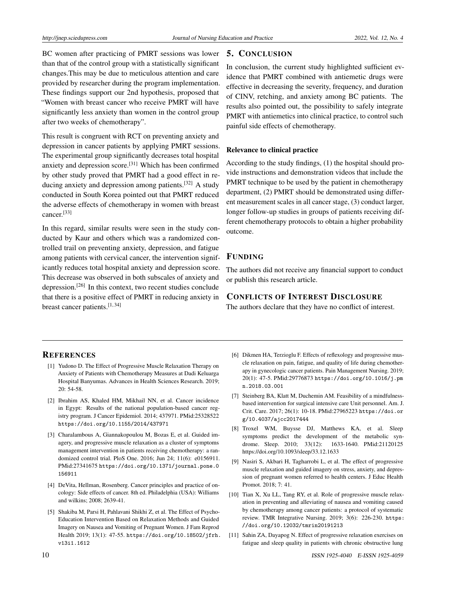BC women after practicing of PMRT sessions was lower than that of the control group with a statistically significant changes.This may be due to meticulous attention and care provided by researcher during the program implementation. These findings support our 2nd hypothesis, proposed that "Women with breast cancer who receive PMRT will have significantly less anxiety than women in the control group after two weeks of chemotherapy".

This result is congruent with RCT on preventing anxiety and depression in cancer patients by applying PMRT sessions. The experimental group significantly decreases total hospital anxiety and depression score.<sup>[\[31\]](#page-10-19)</sup> Which has been confirmed by other study proved that PMRT had a good effect in reducing anxiety and depression among patients.[\[32\]](#page-10-20) A study conducted in South Korea pointed out that PMRT reduced the adverse effects of chemotherapy in women with breast cancer.[\[33\]](#page-10-21)

In this regard, similar results were seen in the study conducted by Kaur and others which was a randomized controlled trail on preventing anxiety, depression, and fatigue among patients with cervical cancer, the intervention significantly reduces total hospital anxiety and depression score. This decrease was observed in both subscales of anxiety and depression.<sup>[\[26\]](#page-10-14)</sup> In this context, two recent studies conclude that there is a positive effect of PMRT in reducing anxiety in breast cancer patients.[\[1,](#page-9-0) [34\]](#page-10-22)

# 5. CONCLUSION

In conclusion, the current study highlighted sufficient evidence that PMRT combined with antiemetic drugs were effective in decreasing the severity, frequency, and duration of CINV, retching, and anxiety among BC patients. The results also pointed out, the possibility to safely integrate PMRT with antiemetics into clinical practice, to control such painful side effects of chemotherapy.

#### Relevance to clinical practice

According to the study findings, (1) the hospital should provide instructions and demonstration videos that include the PMRT technique to be used by the patient in chemotherapy department, (2) PMRT should be demonstrated using different measurement scales in all cancer stage, (3) conduct larger, longer follow-up studies in groups of patients receiving different chemotherapy protocols to obtain a higher probability outcome.

# FUNDING

The authors did not receive any financial support to conduct or publish this research article.

# CONFLICTS OF INTEREST DISCLOSURE

The authors declare that they have no conflict of interest.

## **REFERENCES**

- <span id="page-9-0"></span>[1] Yudono D. The Effect of Progressive Muscle Relaxation Therapy on Anxiety of Patients with Chemotherapy Measures at Dadi Keluarga Hospital Banyumas. Advances in Health Sciences Research. 2019; 20: 54-58.
- <span id="page-9-1"></span>[2] Ibrahim AS, Khaled HM, Mikhail NN, et al. Cancer incidence in Egypt: Results of the national population-based cancer registry program. J Cancer Epidemiol. 2014; 437971. PMid:25328522 <https://doi.org/10.1155/2014/437971>
- <span id="page-9-2"></span>[3] Charalambous A, Giannakopoulou M, Bozas E, et al. Guided imagery, and progressive muscle relaxation as a cluster of symptoms management intervention in patients receiving chemotherapy: a randomized control trial. PloS One. 2016; Jun 24; 11(6): e0156911. PMid:27341675 [https://doi.org/10.1371/journal.pone.0](https://doi.org/10.1371/journal.pone.0156911) [156911](https://doi.org/10.1371/journal.pone.0156911)
- <span id="page-9-3"></span>[4] DeVita, Hellman, Rosenberg. Cancer principles and practice of oncology: Side effects of cancer. 8th ed. Philadelphia (USA): Williams and wilkins; 2008; 2639-41.
- <span id="page-9-4"></span>[5] Shakiba M, Parsi H, Pahlavani Shikhi Z, et al. The Effect of Psycho-Education Intervention Based on Relaxation Methods and Guided Imagery on Nausea and Vomiting of Pregnant Women. J Fam Reprod Health 2019; 13(1): 47-55. [https://doi.org/10.18502/jfrh.](https://doi.org/10.18502/jfrh.v13i1.1612) [v13i1.1612](https://doi.org/10.18502/jfrh.v13i1.1612)
- <span id="page-9-5"></span>[6] Dikmen HA, Terzioglu F. Effects of reflexology and progressive muscle relaxation on pain, fatigue, and quality of life during chemotherapy in gynecologic cancer patients. Pain Management Nursing. 2019; 20(1): 47-5. PMid:29776873 [https://doi.org/10.1016/j.pm](https://doi.org/10.1016/j.pmn.2018.03.001) [n.2018.03.001](https://doi.org/10.1016/j.pmn.2018.03.001)
- <span id="page-9-6"></span>[7] Steinberg BA, Klatt M, Duchemin AM. Feasibility of a mindfulnessbased intervention for surgical intensive care Unit personnel. Am. J. Crit. Care. 2017; 26(1): 10-18. PMid:27965223 [https://doi.or](https://doi.org/10.4037/ajcc2017444) [g/10.4037/ajcc2017444](https://doi.org/10.4037/ajcc2017444)
- <span id="page-9-7"></span>[8] Troxel WM, Buysse DJ, Matthews KA, et al. Sleep symptoms predict the development of the metabolic syndrome. Sleep. 2010; 33(12): 1633-1640. PMid:21120125 https://doi.org/10.1093/sleep/33.12.1633
- <span id="page-9-8"></span>[9] Nasiri S, Akbari H, Tagharrobi L, et al. The effect of progressive muscle relaxation and guided imagery on stress, anxiety, and depression of pregnant women referred to health centers. J Educ Health Promot. 2018; 7: 41.
- [10] Tian X, Xu LL, Tang RY, et al. Role of progressive muscle relaxation in preventing and alleviating of nausea and vomiting caused by chemotherapy among cancer patients: a protocol of systematic review. TMR Integrative Nursing. 2019; 3(6): 226-230. [https:](https://doi.org/10.12032/tmrin20191213) [//doi.org/10.12032/tmrin20191213](https://doi.org/10.12032/tmrin20191213)
- <span id="page-9-9"></span>[11] Sahin ZA, Dayapog N. Effect of progressive relaxation exercises on fatigue and sleep quality in patients with chronic obstructive lung